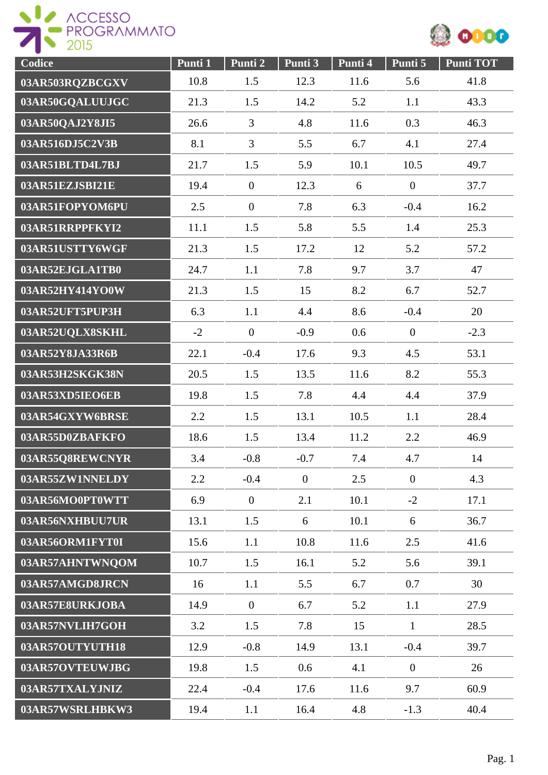



| Codice          | Punti 1 | Punti 2          | Punti 3        | Punti 4 | Punti 5          | <b>Punti TOT</b> |
|-----------------|---------|------------------|----------------|---------|------------------|------------------|
| 03AR503RQZBCGXV | 10.8    | 1.5              | 12.3           | 11.6    | 5.6              | 41.8             |
| 03AR50GQALUUJGC | 21.3    | 1.5              | 14.2           | 5.2     | 1.1              | 43.3             |
| 03AR50QAJ2Y8JI5 | 26.6    | 3                | 4.8            | 11.6    | 0.3              | 46.3             |
| 03AR516DJ5C2V3B | 8.1     | $\overline{3}$   | 5.5            | 6.7     | 4.1              | 27.4             |
| 03AR51BLTD4L7BJ | 21.7    | 1.5              | 5.9            | 10.1    | 10.5             | 49.7             |
| 03AR51EZJSBI21E | 19.4    | $\overline{0}$   | 12.3           | 6       | $\boldsymbol{0}$ | 37.7             |
| 03AR51FOPYOM6PU | 2.5     | $\overline{0}$   | 7.8            | 6.3     | $-0.4$           | 16.2             |
| 03AR51RRPPFKYI2 | 11.1    | 1.5              | 5.8            | 5.5     | 1.4              | 25.3             |
| 03AR51USTTY6WGF | 21.3    | 1.5              | 17.2           | 12      | 5.2              | 57.2             |
| 03AR52EJGLA1TB0 | 24.7    | 1.1              | 7.8            | 9.7     | 3.7              | 47               |
| 03AR52HY414YO0W | 21.3    | 1.5              | 15             | 8.2     | 6.7              | 52.7             |
| 03AR52UFT5PUP3H | 6.3     | 1.1              | 4.4            | 8.6     | $-0.4$           | 20               |
| 03AR52UQLX8SKHL | $-2$    | $\overline{0}$   | $-0.9$         | 0.6     | $\overline{0}$   | $-2.3$           |
| 03AR52Y8JA33R6B | 22.1    | $-0.4$           | 17.6           | 9.3     | 4.5              | 53.1             |
| 03AR53H2SKGK38N | 20.5    | 1.5              | 13.5           | 11.6    | 8.2              | 55.3             |
| 03AR53XD5IEO6EB | 19.8    | 1.5              | 7.8            | 4.4     | 4.4              | 37.9             |
| 03AR54GXYW6BRSE | 2.2     | 1.5              | 13.1           | 10.5    | 1.1              | 28.4             |
| 03AR55D0ZBAFKFO | 18.6    | 1.5              | 13.4           | 11.2    | 2.2              | 46.9             |
| 03AR55Q8REWCNYR | 3.4     | $-0.8$           | $-0.7$         | 7.4     | 4.7              | 14               |
| 03AR55ZW1NNELDY | 2.2     | $-0.4$           | $\overline{0}$ | 2.5     | $\overline{0}$   | 4.3              |
| 03AR56MO0PT0WTT | 6.9     | $\boldsymbol{0}$ | 2.1            | 10.1    | $-2$             | 17.1             |
| 03AR56NXHBUU7UR | 13.1    | 1.5              | 6              | 10.1    | 6                | 36.7             |
| 03AR56ORM1FYT0I | 15.6    | 1.1              | 10.8           | 11.6    | 2.5              | 41.6             |
| 03AR57AHNTWNQOM | 10.7    | 1.5              | 16.1           | 5.2     | 5.6              | 39.1             |
| 03AR57AMGD8JRCN | 16      | 1.1              | 5.5            | 6.7     | 0.7              | 30               |
| 03AR57E8URKJOBA | 14.9    | $\mathbf{0}$     | 6.7            | 5.2     | 1.1              | 27.9             |
| 03AR57NVLIH7GOH | 3.2     | 1.5              | 7.8            | 15      | $\mathbf{1}$     | 28.5             |
| 03AR57OUTYUTH18 | 12.9    | $-0.8$           | 14.9           | 13.1    | $-0.4$           | 39.7             |
| 03AR57OVTEUWJBG | 19.8    | 1.5              | 0.6            | 4.1     | $\overline{0}$   | 26               |
| 03AR57TXALYJNIZ | 22.4    | $-0.4$           | 17.6           | 11.6    | 9.7              | 60.9             |
| 03AR57WSRLHBKW3 | 19.4    | 1.1              | 16.4           | 4.8     | $-1.3$           | 40.4             |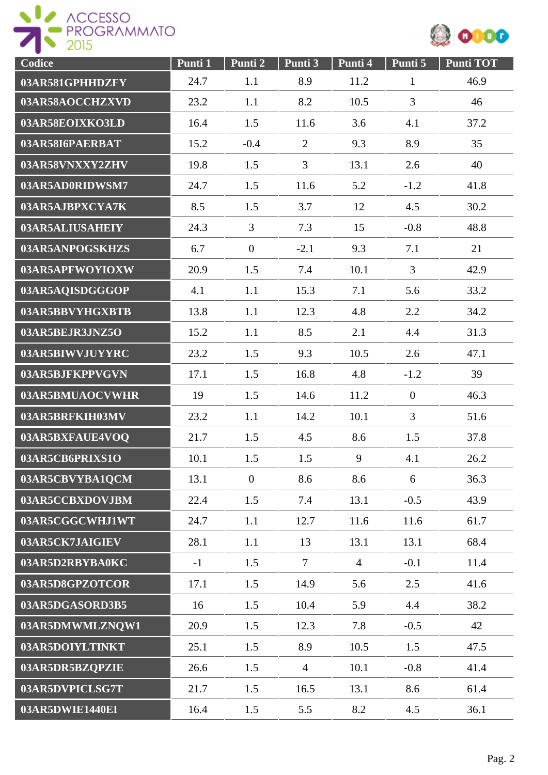



| Codice          | Punti 1 | Punti 2          | Punti 3        | Punti 4        | Punti 5        | <b>Punti TOT</b> |
|-----------------|---------|------------------|----------------|----------------|----------------|------------------|
| 03AR581GPHHDZFY | 24.7    | 1.1              | 8.9            | 11.2           | $\mathbf{1}$   | 46.9             |
| 03AR58AOCCHZXVD | 23.2    | 1.1              | 8.2            | 10.5           | 3              | 46               |
| 03AR58EOIXKO3LD | 16.4    | 1.5              | 11.6           | 3.6            | 4.1            | 37.2             |
| 03AR58I6PAERBAT | 15.2    | $-0.4$           | $\overline{2}$ | 9.3            | 8.9            | 35               |
| 03AR58VNXXY2ZHV | 19.8    | 1.5              | 3              | 13.1           | 2.6            | 40               |
| 03AR5AD0RIDWSM7 | 24.7    | 1.5              | 11.6           | 5.2            | $-1.2$         | 41.8             |
| 03AR5AJBPXCYA7K | 8.5     | 1.5              | 3.7            | 12             | 4.5            | 30.2             |
| 03AR5ALIUSAHEIY | 24.3    | $\overline{3}$   | 7.3            | 15             | $-0.8$         | 48.8             |
| 03AR5ANPOGSKHZS | 6.7     | $\mathbf{0}$     | $-2.1$         | 9.3            | 7.1            | 21               |
| 03AR5APFWOYIOXW | 20.9    | 1.5              | 7.4            | 10.1           | $\overline{3}$ | 42.9             |
| 03AR5AQISDGGGOP | 4.1     | 1.1              | 15.3           | 7.1            | 5.6            | 33.2             |
| 03AR5BBVYHGXBTB | 13.8    | 1.1              | 12.3           | 4.8            | 2.2            | 34.2             |
| 03AR5BEJR3JNZ5O | 15.2    | 1.1              | 8.5            | 2.1            | 4.4            | 31.3             |
| 03AR5BIWVJUYYRC | 23.2    | 1.5              | 9.3            | 10.5           | 2.6            | 47.1             |
| 03AR5BJFKPPVGVN | 17.1    | 1.5              | 16.8           | 4.8            | $-1.2$         | 39               |
| 03AR5BMUAOCVWHR | 19      | 1.5              | 14.6           | 11.2           | $\overline{0}$ | 46.3             |
| 03AR5BRFKIH03MV | 23.2    | 1.1              | 14.2           | 10.1           | 3              | 51.6             |
| 03AR5BXFAUE4VOQ | 21.7    | 1.5              | 4.5            | 8.6            | 1.5            | 37.8             |
| 03AR5CB6PRIXS1O | 10.1    | 1.5              | 1.5            | 9              | 4.1            | 26.2             |
| 03AR5CBVYBA1QCM | 13.1    | $\boldsymbol{0}$ | 8.6            | 8.6            | 6              | 36.3             |
| 03AR5CCBXDOVJBM | 22.4    | 1.5              | 7.4            | 13.1           | $-0.5$         | 43.9             |
| 03AR5CGGCWHJ1WT | 24.7    | 1.1              | 12.7           | 11.6           | 11.6           | 61.7             |
| 03AR5CK7JAIGIEV | 28.1    | 1.1              | 13             | 13.1           | 13.1           | 68.4             |
| 03AR5D2RBYBA0KC | $-1$    | 1.5              | $\overline{7}$ | $\overline{4}$ | $-0.1$         | 11.4             |
| 03AR5D8GPZOTCOR | 17.1    | 1.5              | 14.9           | 5.6            | 2.5            | 41.6             |
| 03AR5DGASORD3B5 | 16      | 1.5              | 10.4           | 5.9            | 4.4            | 38.2             |
| 03AR5DMWMLZNQW1 | 20.9    | 1.5              | 12.3           | 7.8            | $-0.5$         | 42               |
| 03AR5DOIYLTINKT | 25.1    | 1.5              | 8.9            | 10.5           | 1.5            | 47.5             |
| 03AR5DR5BZQPZIE | 26.6    | 1.5              | $\overline{4}$ | 10.1           | $-0.8$         | 41.4             |
| 03AR5DVPICLSG7T | 21.7    | 1.5              | 16.5           | 13.1           | 8.6            | 61.4             |
| 03AR5DWIE1440EI | 16.4    | 1.5              | 5.5            | 8.2            | 4.5            | 36.1             |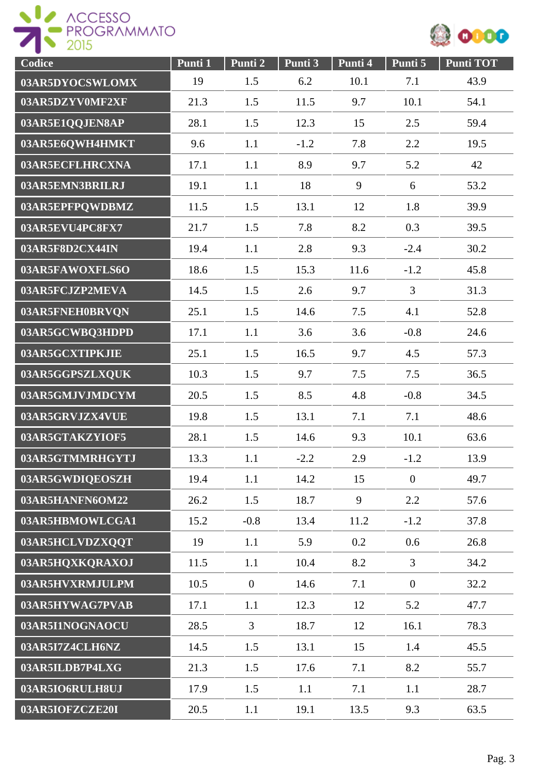



| Codice          | Punti 1 | Punti <sub>2</sub> | Punti 3 | Punti 4 | Punti 5        | <b>Punti TOT</b> |
|-----------------|---------|--------------------|---------|---------|----------------|------------------|
| 03AR5DYOCSWLOMX | 19      | 1.5                | 6.2     | 10.1    | 7.1            | 43.9             |
| 03AR5DZYV0MF2XF | 21.3    | 1.5                | 11.5    | 9.7     | 10.1           | 54.1             |
| 03AR5E1QQJEN8AP | 28.1    | 1.5                | 12.3    | 15      | 2.5            | 59.4             |
| 03AR5E6QWH4HMKT | 9.6     | 1.1                | $-1.2$  | 7.8     | 2.2            | 19.5             |
| 03AR5ECFLHRCXNA | 17.1    | 1.1                | 8.9     | 9.7     | 5.2            | 42               |
| 03AR5EMN3BRILRJ | 19.1    | 1.1                | 18      | 9       | 6              | 53.2             |
| 03AR5EPFPQWDBMZ | 11.5    | 1.5                | 13.1    | 12      | 1.8            | 39.9             |
| 03AR5EVU4PC8FX7 | 21.7    | 1.5                | 7.8     | 8.2     | 0.3            | 39.5             |
| 03AR5F8D2CX44IN | 19.4    | 1.1                | 2.8     | 9.3     | $-2.4$         | 30.2             |
| 03AR5FAWOXFLS6O | 18.6    | 1.5                | 15.3    | 11.6    | $-1.2$         | 45.8             |
| 03AR5FCJZP2MEVA | 14.5    | 1.5                | 2.6     | 9.7     | 3              | 31.3             |
| 03AR5FNEH0BRVQN | 25.1    | 1.5                | 14.6    | 7.5     | 4.1            | 52.8             |
| 03AR5GCWBQ3HDPD | 17.1    | 1.1                | 3.6     | 3.6     | $-0.8$         | 24.6             |
| 03AR5GCXTIPKJIE | 25.1    | 1.5                | 16.5    | 9.7     | 4.5            | 57.3             |
| 03AR5GGPSZLXQUK | 10.3    | 1.5                | 9.7     | 7.5     | 7.5            | 36.5             |
| 03AR5GMJVJMDCYM | 20.5    | 1.5                | 8.5     | 4.8     | $-0.8$         | 34.5             |
| 03AR5GRVJZX4VUE | 19.8    | 1.5                | 13.1    | 7.1     | 7.1            | 48.6             |
| 03AR5GTAKZYIOF5 | 28.1    | 1.5                | 14.6    | 9.3     | 10.1           | 63.6             |
| 03AR5GTMMRHGYTJ | 13.3    | 1.1                | $-2.2$  | 2.9     | $-1.2$         | 13.9             |
| 03AR5GWDIQEOSZH | 19.4    | 1.1                | 14.2    | 15      | $\mathbf{0}$   | 49.7             |
| 03AR5HANFN6OM22 | 26.2    | 1.5                | 18.7    | 9       | 2.2            | 57.6             |
| 03AR5HBMOWLCGA1 | 15.2    | $-0.8$             | 13.4    | 11.2    | $-1.2$         | 37.8             |
| 03AR5HCLVDZXQQT | 19      | 1.1                | 5.9     | 0.2     | 0.6            | 26.8             |
| 03AR5HQXKQRAXOJ | 11.5    | 1.1                | 10.4    | 8.2     | $\overline{3}$ | 34.2             |
| 03AR5HVXRMJULPM | 10.5    | $\overline{0}$     | 14.6    | 7.1     | $\overline{0}$ | 32.2             |
| 03AR5HYWAG7PVAB | 17.1    | 1.1                | 12.3    | 12      | 5.2            | 47.7             |
| 03AR5I1NOGNAOCU | 28.5    | $\overline{3}$     | 18.7    | 12      | 16.1           | 78.3             |
| 03AR5I7Z4CLH6NZ | 14.5    | 1.5                | 13.1    | 15      | 1.4            | 45.5             |
| 03AR5ILDB7P4LXG | 21.3    | 1.5                | 17.6    | 7.1     | 8.2            | 55.7             |
| 03AR5IO6RULH8UJ | 17.9    | 1.5                | 1.1     | 7.1     | 1.1            | 28.7             |
| 03AR5IOFZCZE20I | 20.5    | 1.1                | 19.1    | 13.5    | 9.3            | 63.5             |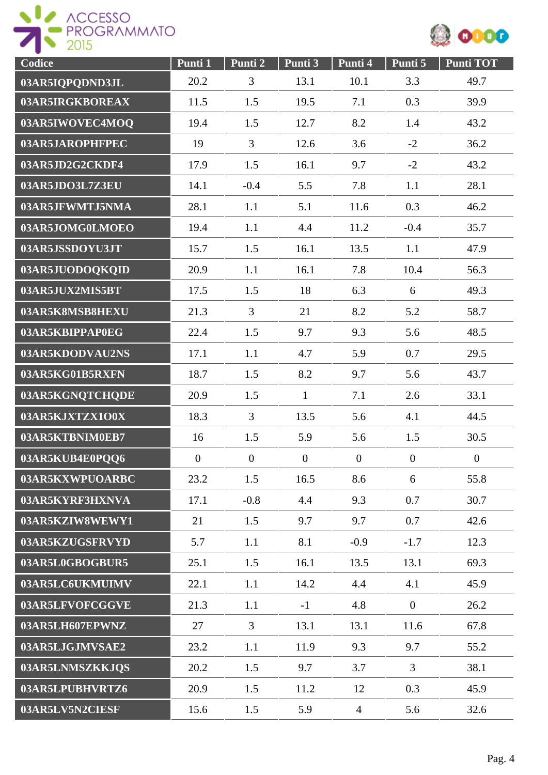



| Codice          | Punti 1        | Punti 2          | Punti 3          | Punti 4          | Punti 5          | <b>Punti TOT</b> |
|-----------------|----------------|------------------|------------------|------------------|------------------|------------------|
| 03AR5IQPQDND3JL | 20.2           | 3                | 13.1             | 10.1             | 3.3              | 49.7             |
| 03AR5IRGKBOREAX | 11.5           | 1.5              | 19.5             | 7.1              | 0.3              | 39.9             |
| 03AR5IWOVEC4MOO | 19.4           | 1.5              | 12.7             | 8.2              | 1.4              | 43.2             |
| 03AR5JAROPHFPEC | 19             | 3                | 12.6             | 3.6              | $-2$             | 36.2             |
| 03AR5JD2G2CKDF4 | 17.9           | 1.5              | 16.1             | 9.7              | $-2$             | 43.2             |
| 03AR5JDO3L7Z3EU | 14.1           | $-0.4$           | 5.5              | 7.8              | 1.1              | 28.1             |
| 03AR5JFWMTJ5NMA | 28.1           | 1.1              | 5.1              | 11.6             | 0.3              | 46.2             |
| 03AR5JOMG0LMOEO | 19.4           | 1.1              | 4.4              | 11.2             | $-0.4$           | 35.7             |
| 03AR5JSSDOYU3JT | 15.7           | 1.5              | 16.1             | 13.5             | 1.1              | 47.9             |
| 03AR5JUODOQKQID | 20.9           | 1.1              | 16.1             | 7.8              | 10.4             | 56.3             |
| 03AR5JUX2MIS5BT | 17.5           | 1.5              | 18               | 6.3              | 6                | 49.3             |
| 03AR5K8MSB8HEXU | 21.3           | $\overline{3}$   | 21               | 8.2              | 5.2              | 58.7             |
| 03AR5KBIPPAP0EG | 22.4           | 1.5              | 9.7              | 9.3              | 5.6              | 48.5             |
| 03AR5KDODVAU2NS | 17.1           | 1.1              | 4.7              | 5.9              | 0.7              | 29.5             |
| 03AR5KG01B5RXFN | 18.7           | 1.5              | 8.2              | 9.7              | 5.6              | 43.7             |
| 03AR5KGNQTCHQDE | 20.9           | 1.5              | $\mathbf{1}$     | 7.1              | 2.6              | 33.1             |
| 03AR5KJXTZX1O0X | 18.3           | $\overline{3}$   | 13.5             | 5.6              | 4.1              | 44.5             |
| 03AR5KTBNIM0EB7 | 16             | 1.5              | 5.9              | 5.6              | 1.5              | 30.5             |
| 03AR5KUB4E0PQQ6 | $\overline{0}$ | $\boldsymbol{0}$ | $\boldsymbol{0}$ | $\boldsymbol{0}$ | $\boldsymbol{0}$ | $\overline{0}$   |
| 03AR5KXWPUOARBC | 23.2           | 1.5              | 16.5             | 8.6              | 6                | 55.8             |
| 03AR5KYRF3HXNVA | 17.1           | $-0.8$           | 4.4              | 9.3              | 0.7              | 30.7             |
| 03AR5KZIW8WEWY1 | 21             | 1.5              | 9.7              | 9.7              | 0.7              | 42.6             |
| 03AR5KZUGSFRVYD | 5.7            | 1.1              | 8.1              | $-0.9$           | $-1.7$           | 12.3             |
| 03AR5L0GBOGBUR5 | 25.1           | 1.5              | 16.1             | 13.5             | 13.1             | 69.3             |
| 03AR5LC6UKMUIMV | 22.1           | 1.1              | 14.2             | 4.4              | 4.1              | 45.9             |
| 03AR5LFVOFCGGVE | 21.3           | 1.1              | $-1$             | 4.8              | $\mathbf{0}$     | 26.2             |
| 03AR5LH607EPWNZ | 27             | $\overline{3}$   | 13.1             | 13.1             | 11.6             | 67.8             |
| 03AR5LJGJMVSAE2 | 23.2           | 1.1              | 11.9             | 9.3              | 9.7              | 55.2             |
| 03AR5LNMSZKKJQS | 20.2           | 1.5              | 9.7              | 3.7              | $\overline{3}$   | 38.1             |
| 03AR5LPUBHVRTZ6 | 20.9           | 1.5              | 11.2             | 12               | 0.3              | 45.9             |
| 03AR5LV5N2CIESF | 15.6           | 1.5              | 5.9              | $\overline{4}$   | 5.6              | 32.6             |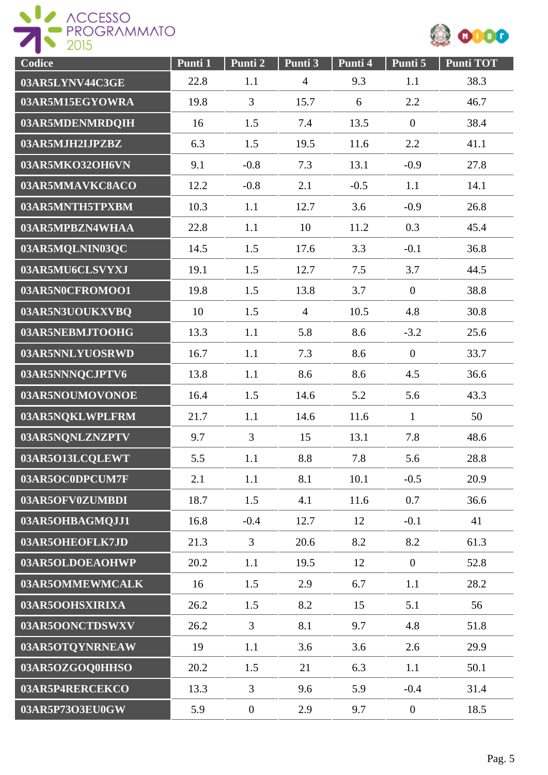



| Codice          | Punti 1 | Punti <sub>2</sub> | Punti 3        | Punti 4 | Punti 5          | Punti TOT |
|-----------------|---------|--------------------|----------------|---------|------------------|-----------|
| 03AR5LYNV44C3GE | 22.8    | 1.1                | $\overline{4}$ | 9.3     | 1.1              | 38.3      |
| 03AR5M15EGYOWRA | 19.8    | $\overline{3}$     | 15.7           | 6       | 2.2              | 46.7      |
| 03AR5MDENMRDQIH | 16      | 1.5                | 7.4            | 13.5    | $\mathbf{0}$     | 38.4      |
| 03AR5MJH2IJPZBZ | 6.3     | 1.5                | 19.5           | 11.6    | 2.2              | 41.1      |
| 03AR5MKO32OH6VN | 9.1     | $-0.8$             | 7.3            | 13.1    | $-0.9$           | 27.8      |
| 03AR5MMAVKC8ACO | 12.2    | $-0.8$             | 2.1            | $-0.5$  | 1.1              | 14.1      |
| 03AR5MNTH5TPXBM | 10.3    | 1.1                | 12.7           | 3.6     | $-0.9$           | 26.8      |
| 03AR5MPBZN4WHAA | 22.8    | 1.1                | 10             | 11.2    | 0.3              | 45.4      |
| 03AR5MQLNIN03QC | 14.5    | 1.5                | 17.6           | 3.3     | $-0.1$           | 36.8      |
| 03AR5MU6CLSVYXJ | 19.1    | 1.5                | 12.7           | 7.5     | 3.7              | 44.5      |
| 03AR5N0CFROMOO1 | 19.8    | 1.5                | 13.8           | 3.7     | $\mathbf{0}$     | 38.8      |
| 03AR5N3UOUKXVBQ | 10      | 1.5                | $\overline{4}$ | 10.5    | 4.8              | 30.8      |
| 03AR5NEBMJTOOHG | 13.3    | 1.1                | 5.8            | 8.6     | $-3.2$           | 25.6      |
| 03AR5NNLYUOSRWD | 16.7    | 1.1                | 7.3            | 8.6     | $\boldsymbol{0}$ | 33.7      |
| 03AR5NNNQCJPTV6 | 13.8    | 1.1                | 8.6            | 8.6     | 4.5              | 36.6      |
| 03AR5NOUMOVONOE | 16.4    | 1.5                | 14.6           | 5.2     | 5.6              | 43.3      |
| 03AR5NQKLWPLFRM | 21.7    | 1.1                | 14.6           | 11.6    | $\mathbf{1}$     | 50        |
| 03AR5NQNLZNZPTV | 9.7     | $\overline{3}$     | 15             | 13.1    | 7.8              | 48.6      |
| 03AR5O13LCQLEWT | 5.5     | 1.1                | 8.8            | 7.8     | 5.6              | 28.8      |
| 03AR5OC0DPCUM7F | 2.1     | 1.1                | 8.1            | 10.1    | $-0.5$           | 20.9      |
| 03AR5OFV0ZUMBDI | 18.7    | 1.5                | 4.1            | 11.6    | 0.7              | 36.6      |
| 03AR5OHBAGMQJJ1 | 16.8    | $-0.4$             | 12.7           | 12      | $-0.1$           | 41        |
| 03AR5OHEOFLK7JD | 21.3    | $\overline{3}$     | 20.6           | 8.2     | 8.2              | 61.3      |
| 03AR5OLDOEAOHWP | 20.2    | 1.1                | 19.5           | 12      | $\mathbf{0}$     | 52.8      |
| 03AR5OMMEWMCALK | 16      | 1.5                | 2.9            | 6.7     | 1.1              | 28.2      |
| 03AR5OOHSXIRIXA | 26.2    | 1.5                | 8.2            | 15      | 5.1              | 56        |
| 03AR5OONCTDSWXV | 26.2    | $\overline{3}$     | 8.1            | 9.7     | 4.8              | 51.8      |
| 03AR5OTQYNRNEAW | 19      | 1.1                | 3.6            | 3.6     | 2.6              | 29.9      |
| 03AR5OZGOQ0HHSO | 20.2    | 1.5                | 21             | 6.3     | 1.1              | 50.1      |
| 03AR5P4RERCEKCO | 13.3    | 3                  | 9.6            | 5.9     | $-0.4$           | 31.4      |
| 03AR5P73O3EU0GW | 5.9     | $\boldsymbol{0}$   | 2.9            | 9.7     | $\overline{0}$   | 18.5      |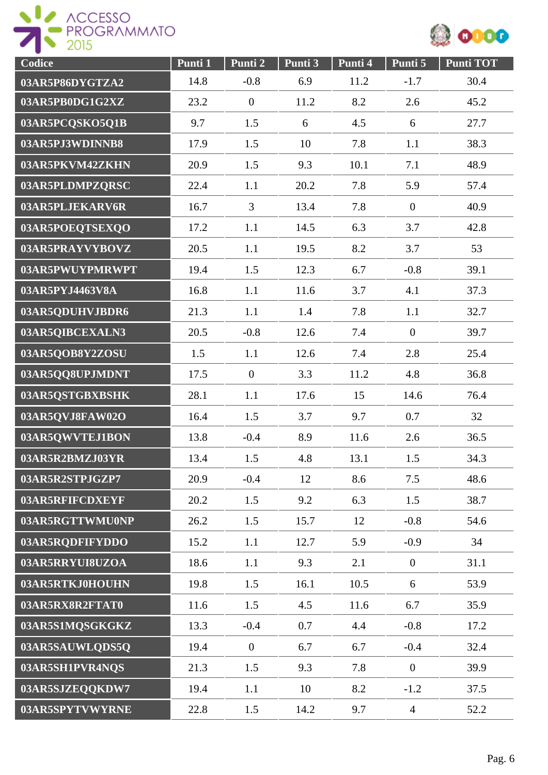



| Codice          | Punti 1 | Punti 2          | Punti 3 | Punti 4 | Punti 5        | <b>Punti TOT</b> |
|-----------------|---------|------------------|---------|---------|----------------|------------------|
| 03AR5P86DYGTZA2 | 14.8    | $-0.8$           | 6.9     | 11.2    | $-1.7$         | 30.4             |
| 03AR5PB0DG1G2XZ | 23.2    | $\boldsymbol{0}$ | 11.2    | 8.2     | 2.6            | 45.2             |
| 03AR5PCQSKO5Q1B | 9.7     | 1.5              | 6       | 4.5     | 6              | 27.7             |
| 03AR5PJ3WDINNB8 | 17.9    | 1.5              | 10      | 7.8     | 1.1            | 38.3             |
| 03AR5PKVM42ZKHN | 20.9    | 1.5              | 9.3     | 10.1    | 7.1            | 48.9             |
| 03AR5PLDMPZQRSC | 22.4    | 1.1              | 20.2    | 7.8     | 5.9            | 57.4             |
| 03AR5PLJEKARV6R | 16.7    | 3                | 13.4    | 7.8     | $\mathbf{0}$   | 40.9             |
| 03AR5POEQTSEXQO | 17.2    | 1.1              | 14.5    | 6.3     | 3.7            | 42.8             |
| 03AR5PRAYVYBOVZ | 20.5    | 1.1              | 19.5    | 8.2     | 3.7            | 53               |
| 03AR5PWUYPMRWPT | 19.4    | 1.5              | 12.3    | 6.7     | $-0.8$         | 39.1             |
| 03AR5PYJ4463V8A | 16.8    | 1.1              | 11.6    | 3.7     | 4.1            | 37.3             |
| 03AR5QDUHVJBDR6 | 21.3    | 1.1              | 1.4     | 7.8     | 1.1            | 32.7             |
| 03AR5QIBCEXALN3 | 20.5    | $-0.8$           | 12.6    | 7.4     | $\overline{0}$ | 39.7             |
| 03AR5QOB8Y2ZOSU | 1.5     | 1.1              | 12.6    | 7.4     | 2.8            | 25.4             |
| 03AR5QQ8UPJMDNT | 17.5    | $\boldsymbol{0}$ | 3.3     | 11.2    | 4.8            | 36.8             |
| 03AR5QSTGBXBSHK | 28.1    | 1.1              | 17.6    | 15      | 14.6           | 76.4             |
| 03AR5QVJ8FAW02O | 16.4    | 1.5              | 3.7     | 9.7     | 0.7            | 32               |
| 03AR5QWVTEJ1BON | 13.8    | $-0.4$           | 8.9     | 11.6    | 2.6            | 36.5             |
| 03AR5R2BMZJ03YR | 13.4    | 1.5              | 4.8     | 13.1    | 1.5            | 34.3             |
| 03AR5R2STPJGZP7 | 20.9    | $-0.4$           | 12      | 8.6     | 7.5            | 48.6             |
| 03AR5RFIFCDXEYF | 20.2    | 1.5              | 9.2     | 6.3     | 1.5            | 38.7             |
| 03AR5RGTTWMU0NP | 26.2    | 1.5              | 15.7    | 12      | $-0.8$         | 54.6             |
| 03AR5RQDFIFYDDO | 15.2    | 1.1              | 12.7    | 5.9     | $-0.9$         | 34               |
| 03AR5RRYUI8UZOA | 18.6    | 1.1              | 9.3     | 2.1     | $\overline{0}$ | 31.1             |
| 03AR5RTKJ0HOUHN | 19.8    | 1.5              | 16.1    | 10.5    | 6              | 53.9             |
| 03AR5RX8R2FTAT0 | 11.6    | 1.5              | 4.5     | 11.6    | 6.7            | 35.9             |
| 03AR5S1MQSGKGKZ | 13.3    | $-0.4$           | 0.7     | 4.4     | $-0.8$         | 17.2             |
| 03AR5SAUWLQDS5Q | 19.4    | $\overline{0}$   | 6.7     | 6.7     | $-0.4$         | 32.4             |
| 03AR5SH1PVR4NQS | 21.3    | 1.5              | 9.3     | 7.8     | $\overline{0}$ | 39.9             |
| 03AR5SJZEQQKDW7 | 19.4    | 1.1              | 10      | 8.2     | $-1.2$         | 37.5             |
| 03AR5SPYTVWYRNE | 22.8    | 1.5              | 14.2    | 9.7     | $\overline{4}$ | 52.2             |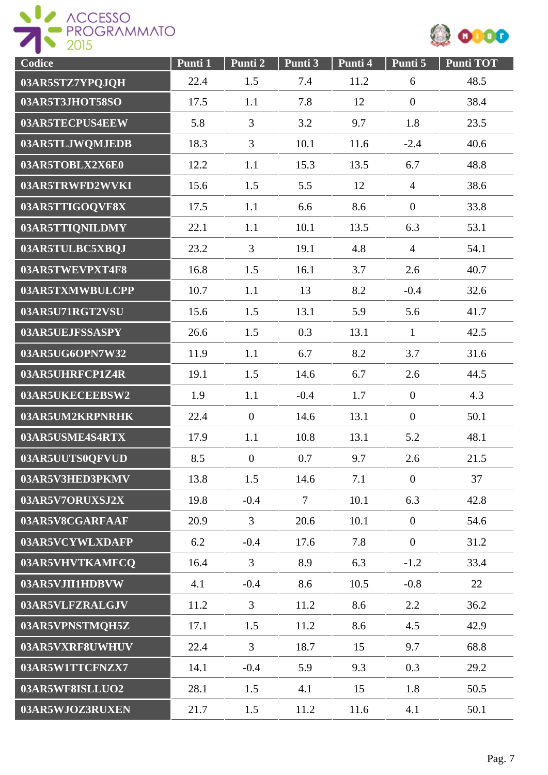



| Codice          | Punti 1 | Punti 2        | Punti <sub>3</sub> | Punti 4 | Punti 5          | <b>Punti TOT</b> |
|-----------------|---------|----------------|--------------------|---------|------------------|------------------|
| 03AR5STZ7YPQJQH | 22.4    | 1.5            | 7.4                | 11.2    | 6                | 48.5             |
| 03AR5T3JHOT58SO | 17.5    | 1.1            | 7.8                | 12      | $\overline{0}$   | 38.4             |
| 03AR5TECPUS4EEW | 5.8     | $\overline{3}$ | 3.2                | 9.7     | 1.8              | 23.5             |
| 03AR5TLJWQMJEDB | 18.3    | $\overline{3}$ | 10.1               | 11.6    | $-2.4$           | 40.6             |
| 03AR5TOBLX2X6E0 | 12.2    | 1.1            | 15.3               | 13.5    | 6.7              | 48.8             |
| 03AR5TRWFD2WVKI | 15.6    | 1.5            | 5.5                | 12      | $\overline{4}$   | 38.6             |
| 03AR5TTIGOQVF8X | 17.5    | 1.1            | 6.6                | 8.6     | $\overline{0}$   | 33.8             |
| 03AR5TTIQNILDMY | 22.1    | 1.1            | 10.1               | 13.5    | 6.3              | 53.1             |
| 03AR5TULBC5XBQJ | 23.2    | $\overline{3}$ | 19.1               | 4.8     | $\overline{4}$   | 54.1             |
| 03AR5TWEVPXT4F8 | 16.8    | 1.5            | 16.1               | 3.7     | 2.6              | 40.7             |
| 03AR5TXMWBULCPP | 10.7    | 1.1            | 13                 | 8.2     | $-0.4$           | 32.6             |
| 03AR5U71RGT2VSU | 15.6    | 1.5            | 13.1               | 5.9     | 5.6              | 41.7             |
| 03AR5UEJFSSASPY | 26.6    | 1.5            | 0.3                | 13.1    | $\mathbf{1}$     | 42.5             |
| 03AR5UG6OPN7W32 | 11.9    | 1.1            | 6.7                | 8.2     | 3.7              | 31.6             |
| 03AR5UHRFCP1Z4R | 19.1    | 1.5            | 14.6               | 6.7     | 2.6              | 44.5             |
| 03AR5UKECEEBSW2 | 1.9     | 1.1            | $-0.4$             | 1.7     | $\boldsymbol{0}$ | 4.3              |
| 03AR5UM2KRPNRHK | 22.4    | $\overline{0}$ | 14.6               | 13.1    | $\overline{0}$   | 50.1             |
| 03AR5USME4S4RTX | 17.9    | 1.1            | 10.8               | 13.1    | 5.2              | 48.1             |
| 03AR5UUTS0QFVUD | 8.5     | $\overline{0}$ | 0.7                | 9.7     | 2.6              | 21.5             |
| 03AR5V3HED3PKMV | 13.8    | 1.5            | 14.6               | 7.1     | $\overline{0}$   | 37               |
| 03AR5V7ORUXSJ2X | 19.8    | $-0.4$         | $\tau$             | 10.1    | 6.3              | 42.8             |
| 03AR5V8CGARFAAF | 20.9    | 3              | 20.6               | 10.1    | $\overline{0}$   | 54.6             |
| 03AR5VCYWLXDAFP | 6.2     | $-0.4$         | 17.6               | 7.8     | $\overline{0}$   | 31.2             |
| 03AR5VHVTKAMFCQ | 16.4    | $\overline{3}$ | 8.9                | 6.3     | $-1.2$           | 33.4             |
| 03AR5VJII1HDBVW | 4.1     | $-0.4$         | 8.6                | 10.5    | $-0.8$           | 22               |
| 03AR5VLFZRALGJV | 11.2    | $\overline{3}$ | 11.2               | 8.6     | 2.2              | 36.2             |
| 03AR5VPNSTMQH5Z | 17.1    | 1.5            | 11.2               | 8.6     | 4.5              | 42.9             |
| 03AR5VXRF8UWHUV | 22.4    | 3              | 18.7               | 15      | 9.7              | 68.8             |
| 03AR5W1TTCFNZX7 | 14.1    | $-0.4$         | 5.9                | 9.3     | 0.3              | 29.2             |
| 03AR5WF8ISLLUO2 | 28.1    | 1.5            | 4.1                | 15      | 1.8              | 50.5             |
| 03AR5WJOZ3RUXEN | 21.7    | 1.5            | 11.2               | 11.6    | 4.1              | 50.1             |